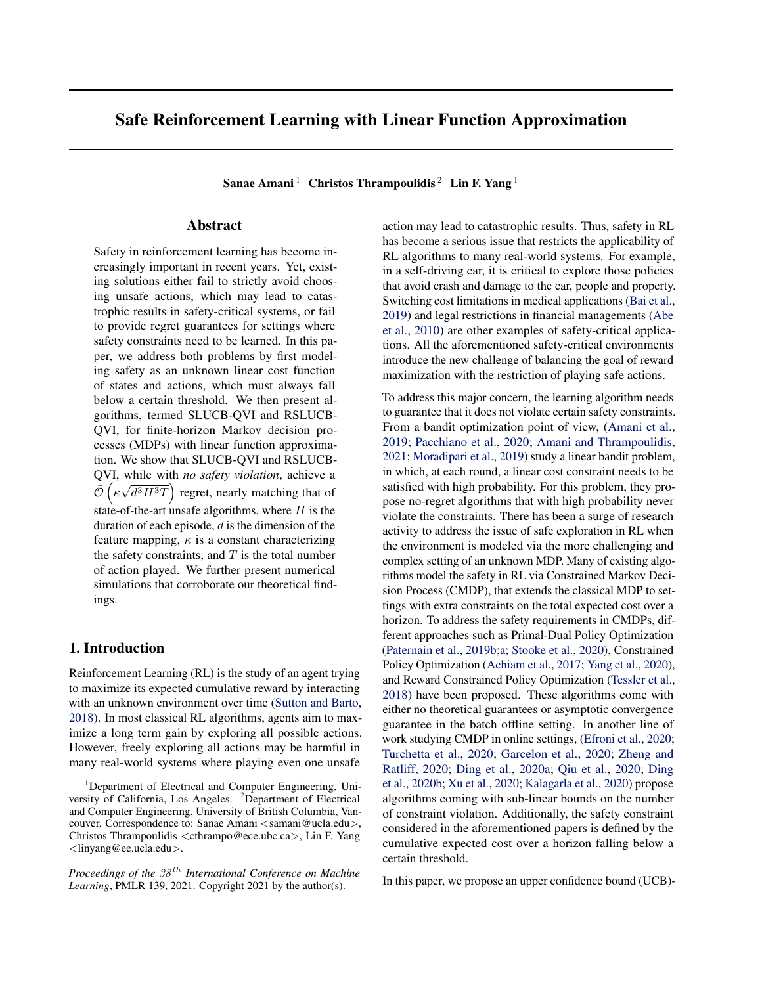# Safe Reinforcement Learning with Linear Function Approximation

Sanae Amani<sup>1</sup> Christos Thrampoulidis<sup>2</sup> Lin F. Yang<sup>1</sup>

## Abstract

Safety in reinforcement learning has become increasingly important in recent years. Yet, existing solutions either fail to strictly avoid choosing unsafe actions, which may lead to catastrophic results in safety-critical systems, or fail to provide regret guarantees for settings where safety constraints need to be learned. In this paper, we address both problems by first modeling safety as an unknown linear cost function of states and actions, which must always fall below a certain threshold. We then present algorithms, termed SLUCB-QVI and RSLUCB-QVI, for finite-horizon Markov decision processes (MDPs) with linear function approximation. We show that SLUCB-QVI and RSLUCB-QVI, while with *no safety violation*, achieve a  $\tilde{\mathcal{O}}\left(\kappa\right)$ √  $\overline{d^3H^3T}$  regret, nearly matching that of state-of-the-art unsafe algorithms, where  $H$  is the duration of each episode,  $d$  is the dimension of the feature mapping,  $\kappa$  is a constant characterizing the safety constraints, and  $T$  is the total number of action played. We further present numerical simulations that corroborate our theoretical findings.

## 1. Introduction

Reinforcement Learning (RL) is the study of an agent trying to maximize its expected cumulative reward by interacting with an unknown environment over time [\(Sutton and Barto,](#page-9-0) [2018\)](#page-9-0). In most classical RL algorithms, agents aim to maximize a long term gain by exploring all possible actions. However, freely exploring all actions may be harmful in many real-world systems where playing even one unsafe

action may lead to catastrophic results. Thus, safety in RL has become a serious issue that restricts the applicability of RL algorithms to many real-world systems. For example, in a self-driving car, it is critical to explore those policies that avoid crash and damage to the car, people and property. Switching cost limitations in medical applications [\(Bai et al.,](#page-9-0) [2019\)](#page-9-0) and legal restrictions in financial managements [\(Abe](#page-9-0) [et al.,](#page-9-0) [2010\)](#page-9-0) are other examples of safety-critical applications. All the aforementioned safety-critical environments introduce the new challenge of balancing the goal of reward maximization with the restriction of playing safe actions.

To address this major concern, the learning algorithm needs to guarantee that it does not violate certain safety constraints. From a bandit optimization point of view, [\(Amani et al.,](#page-9-0) [2019;](#page-9-0) [Pacchiano et al.,](#page-9-0) [2020;](#page-9-0) [Amani and Thrampoulidis,](#page-9-0) [2021;](#page-9-0) [Moradipari et al.,](#page-9-0) [2019\)](#page-9-0) study a linear bandit problem, in which, at each round, a linear cost constraint needs to be satisfied with high probability. For this problem, they propose no-regret algorithms that with high probability never violate the constraints. There has been a surge of research activity to address the issue of safe exploration in RL when the environment is modeled via the more challenging and complex setting of an unknown MDP. Many of existing algorithms model the safety in RL via Constrained Markov Decision Process (CMDP), that extends the classical MDP to settings with extra constraints on the total expected cost over a horizon. To address the safety requirements in CMDPs, different approaches such as Primal-Dual Policy Optimization [\(Paternain et al.,](#page-9-0) [2019b;a;](#page-9-0) [Stooke et al.,](#page-9-0) [2020\)](#page-9-0), Constrained Policy Optimization [\(Achiam et al.,](#page-9-0) [2017;](#page-9-0) [Yang et al.,](#page-10-0) [2020\)](#page-10-0), and Reward Constrained Policy Optimization [\(Tessler et al.,](#page-10-0) [2018\)](#page-10-0) have been proposed. These algorithms come with either no theoretical guarantees or asymptotic convergence guarantee in the batch offline setting. In another line of work studying CMDP in online settings, [\(Efroni et al.,](#page-9-0) [2020;](#page-9-0) [Turchetta et al.,](#page-10-0) [2020;](#page-10-0) [Garcelon et al.,](#page-9-0) [2020;](#page-9-0) [Zheng and](#page-10-0) [Ratliff,](#page-10-0) [2020;](#page-10-0) [Ding et al.,](#page-9-0) [2020a;](#page-9-0) [Qiu et al.,](#page-9-0) [2020;](#page-9-0) [Ding](#page-9-0) [et al.,](#page-9-0) [2020b;](#page-9-0) [Xu et al.,](#page-10-0) [2020;](#page-10-0) [Kalagarla et al.,](#page-9-0) [2020\)](#page-9-0) propose algorithms coming with sub-linear bounds on the number of constraint violation. Additionally, the safety constraint considered in the aforementioned papers is defined by the cumulative expected cost over a horizon falling below a certain threshold.

In this paper, we propose an upper confidence bound (UCB)-

<sup>&</sup>lt;sup>1</sup>Department of Electrical and Computer Engineering, University of California, Los Angeles. <sup>2</sup>Department of Electrical and Computer Engineering, University of British Columbia, Vancouver. Correspondence to: Sanae Amani <samani@ucla.edu>, Christos Thrampoulidis <cthrampo@ece.ubc.ca>, Lin F. Yang <linyang@ee.ucla.edu>.

*Proceedings of the*  $38<sup>th</sup>$  *International Conference on Machine Learning*, PMLR 139, 2021. Copyright 2021 by the author(s).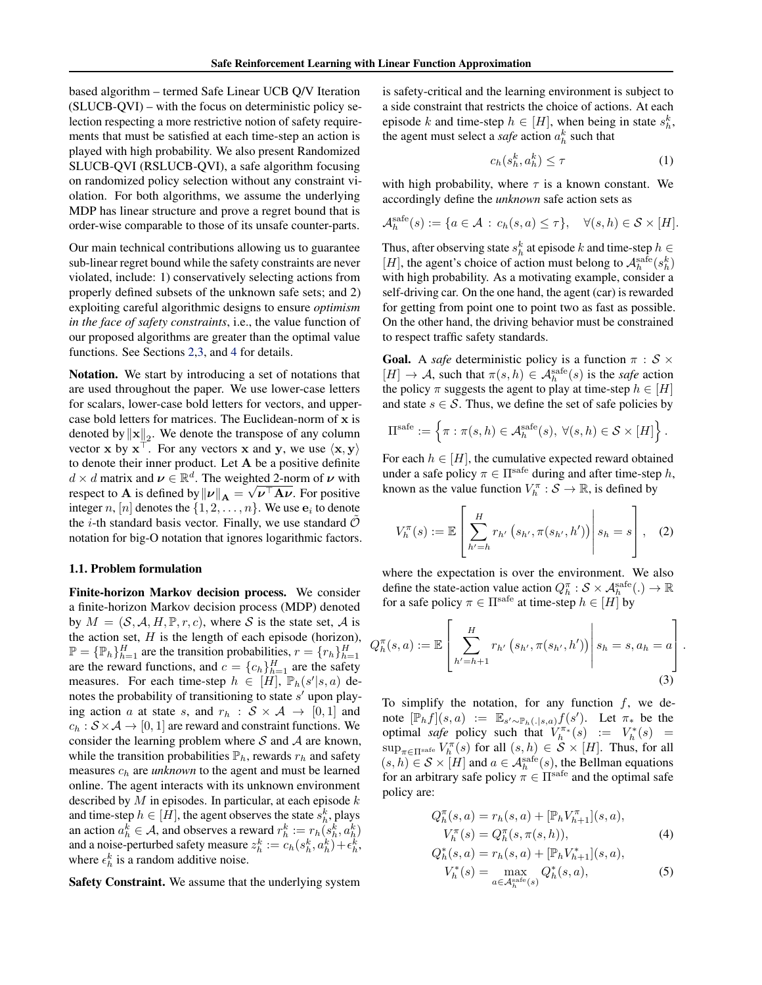<span id="page-1-0"></span>based algorithm – termed Safe Linear UCB Q/V Iteration (SLUCB-QVI) – with the focus on deterministic policy selection respecting a more restrictive notion of safety requirements that must be satisfied at each time-step an action is played with high probability. We also present Randomized SLUCB-QVI (RSLUCB-QVI), a safe algorithm focusing on randomized policy selection without any constraint violation. For both algorithms, we assume the underlying MDP has linear structure and prove a regret bound that is order-wise comparable to those of its unsafe counter-parts.

Our main technical contributions allowing us to guarantee sub-linear regret bound while the safety constraints are never violated, include: 1) conservatively selecting actions from properly defined subsets of the unknown safe sets; and 2) exploiting careful algorithmic designs to ensure *optimism in the face of safety constraints*, i.e., the value function of our proposed algorithms are greater than the optimal value functions. See Sections [2,](#page-2-0)[3,](#page-4-0) and [4](#page-5-0) for details.

Notation. We start by introducing a set of notations that are used throughout the paper. We use lower-case letters for scalars, lower-case bold letters for vectors, and uppercase bold letters for matrices. The Euclidean-norm of x is denoted by  $\|\mathbf{x}\|_2$ . We denote the transpose of any column vector x by  $x^{\top}$ . For any vectors x and y, we use  $\langle x, y \rangle$ to denote their inner product. Let A be a positive definite  $d \times d$  matrix and  $\nu \in \mathbb{R}^d$ . The weighted 2-norm of  $\nu$  with respect to **A** is defined by  $\|\nu\|_A = \sqrt{\nu^{\top} A \nu}$ . For positive integer n,  $[n]$  denotes the  $\{1, 2, \ldots, n\}$ . We use  $e_i$  to denote the *i*-th standard basis vector. Finally, we use standard  $O$ notation for big-O notation that ignores logarithmic factors.

#### 1.1. Problem formulation

Finite-horizon Markov decision process. We consider a finite-horizon Markov decision process (MDP) denoted by  $M = (\mathcal{S}, \mathcal{A}, H, \mathbb{P}, r, c)$ , where  $\mathcal{S}$  is the state set,  $\mathcal{A}$  is the action set,  $H$  is the length of each episode (horizon),  $\mathbb{P} = {\mathbb{P}_h}_{h=1}^H$  are the transition probabilities,  $r = {r_h}_{h=1}^H$  are the reward functions, and  $c = {c_h}_{h=1}^H$  are the safety measures. For each time-step  $h \in [H]$ ,  $\mathbb{P}_h(s'|s, a)$  denotes the probability of transitioning to state  $s'$  upon playing action a at state s, and  $r_h : S \times A \rightarrow [0,1]$  and  $c_h : \mathcal{S} \times \mathcal{A} \rightarrow [0, 1]$  are reward and constraint functions. We consider the learning problem where  $S$  and  $A$  are known, while the transition probabilities  $\mathbb{P}_h$ , rewards  $r_h$  and safety measures  $c_h$  are *unknown* to the agent and must be learned online. The agent interacts with its unknown environment described by  $M$  in episodes. In particular, at each episode  $k$ and time-step  $h \in [H]$ , the agent observes the state  $s_h^k$ , plays an action  $a_h^k \in \mathcal{A}$ , and observes a reward  $r_h^k := r_h(s_h^k, a_h^k)$ and a noise-perturbed safety measure  $z_h^k := c_h(s_h^k, a_h^k) + \epsilon_h^k$ , where  $\epsilon_h^k$  is a random additive noise.

Safety Constraint. We assume that the underlying system

is safety-critical and the learning environment is subject to a side constraint that restricts the choice of actions. At each episode k and time-step  $h \in [H]$ , when being in state  $s_h^k$ , the agent must select a *safe* action  $a_h^k$  such that

$$
c_h(s_h^k, a_h^k) \le \tau \tag{1}
$$

with high probability, where  $\tau$  is a known constant. We accordingly define the *unknown* safe action sets as

$$
\mathcal{A}_h^{\text{safe}}(s) := \{ a \in \mathcal{A} \, : \, c_h(s, a) \le \tau \}, \quad \forall (s, h) \in \mathcal{S} \times [H].
$$

Thus, after observing state  $s_h^k$  at episode k and time-step  $h \in$ [H], the agent's choice of action must belong to  $\mathcal{A}_h^{\text{safe}}(s_h^k)$ with high probability. As a motivating example, consider a self-driving car. On the one hand, the agent (car) is rewarded for getting from point one to point two as fast as possible. On the other hand, the driving behavior must be constrained to respect traffic safety standards.

**Goal.** A *safe* deterministic policy is a function  $\pi : \mathcal{S} \times$  $[H] \to \mathcal{A}$ , such that  $\pi(s, h) \in \mathcal{A}_h^{\text{safe}}(s)$  is the *safe* action the policy  $\pi$  suggests the agent to play at time-step  $h \in [H]$ and state  $s \in \mathcal{S}$ . Thus, we define the set of safe policies by

$$
\Pi^{\text{safe}} := \left\{ \pi : \pi(s, h) \in \mathcal{A}_h^{\text{safe}}(s), \ \forall (s, h) \in \mathcal{S} \times [H] \right\}.
$$

For each  $h \in [H]$ , the cumulative expected reward obtained under a safe policy  $\pi \in \Pi^{\text{safe}}$  during and after time-step h, known as the value function  $V_h^{\pi} : \mathcal{S} \to \mathbb{R}$ , is defined by

$$
V_h^{\pi}(s) := \mathbb{E}\left[\left.\sum_{h'=h}^H r_{h'}\left(s_{h'}, \pi(s_{h'}, h')\right)\right| s_h = s\right], \quad (2)
$$

where the expectation is over the environment. We also define the state-action value action  $Q_h^{\pi} : \mathcal{S} \times \mathcal{A}_h^{\text{safe}}(.) \to \mathbb{R}$ for a safe policy  $\pi \in \Pi^{\text{safe}}$  at time-step  $h \in [H]$  by

$$
Q_h^{\pi}(s, a) := \mathbb{E}\left[\sum_{h'=h+1}^H r_{h'}(s_{h'}, \pi(s_{h'}, h'))\middle| s_h = s, a_h = a\right].
$$
\n(3)

To simplify the notation, for any function  $f$ , we denote  $[\mathbb{P}_h f](s, a) := \mathbb{E}_{s' \sim \mathbb{P}_h(\cdot | s, a)} f(s')$ . Let  $\pi_*$  be the optimal *safe* policy such that  $V_h^{\pi*}(s) := V_h^*(s) =$  $\sup_{\pi \in \Pi^{\text{safe}}} V_h^{\pi}(s)$  for all  $(s, h) \in \mathcal{S} \times [H]$ . Thus, for all  $(s, h) \in S \times [H]$  and  $a \in A_h^{\text{safe}}(s)$ , the Bellman equations for an arbitrary safe policy  $\pi \in \Pi^{\text{safe}}$  and the optimal safe policy are:

 $\overline{a}$ 

$$
Q_h^{\pi}(s, a) = r_h(s, a) + [\mathbb{P}_h V_{h+1}^{\pi}](s, a),
$$
  

$$
V_h^{\pi}(s) = Q_h^{\pi}(s, \pi(s, h)),
$$
 (4)

$$
Q_h^*(s, a) = r_h(s, a) + [\mathbb{P}_h V_{h+1}^*](s, a),
$$
  

$$
V^*(s) = \max_{h \in \mathcal{A}} Q_h^*(s, a)
$$
 (5)

$$
V_h^*(s) = \max_{a \in \mathcal{A}_h^{\text{safe}}(s)} Q_h^*(s, a),\tag{5}
$$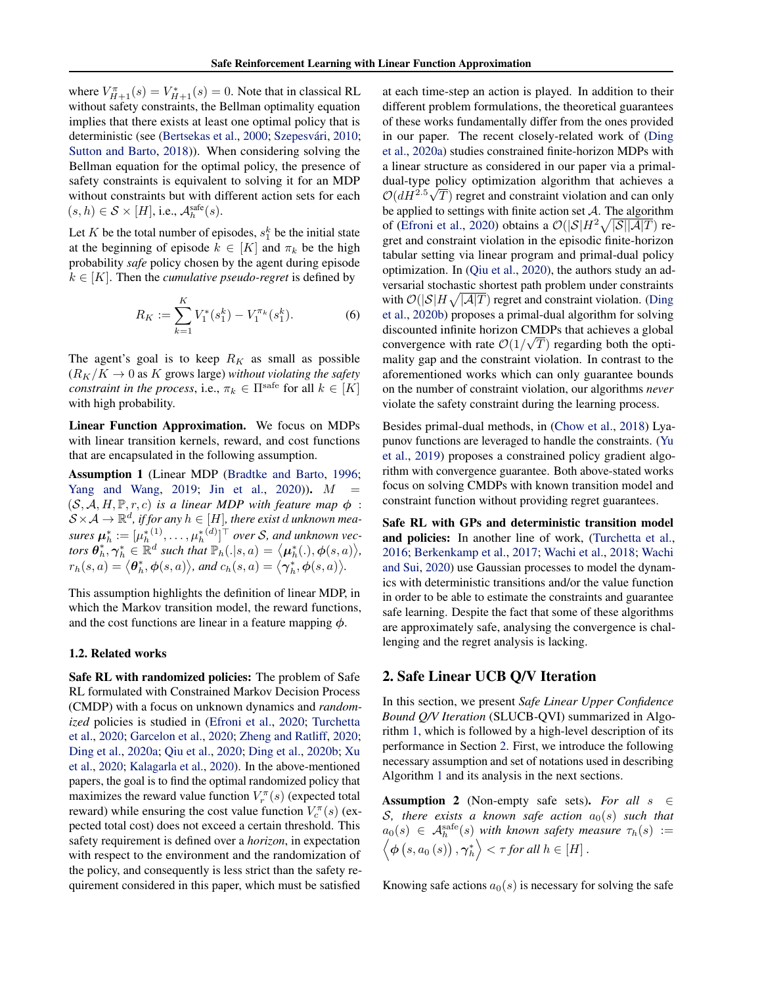<span id="page-2-0"></span>where  $V_{H+1}^{\pi}(s) = V_{H+1}^*(s) = 0$ . Note that in classical RL without safety constraints, the Bellman optimality equation implies that there exists at least one optimal policy that is deterministic (see [\(Bertsekas et al.,](#page-9-0) [2000;](#page-9-0) Szepesvári, [2010;](#page-9-0) [Sutton and Barto,](#page-9-0) [2018\)](#page-9-0)). When considering solving the Bellman equation for the optimal policy, the presence of safety constraints is equivalent to solving it for an MDP without constraints but with different action sets for each  $(s, h) \in \mathcal{S} \times [H]$ , i.e.,  $\mathcal{A}_h^{\text{safe}}(s)$ .

Let K be the total number of episodes,  $s_1^k$  be the initial state at the beginning of episode  $k \in [K]$  and  $\pi_k$  be the high probability *safe* policy chosen by the agent during episode  $k \in [K]$ . Then the *cumulative pseudo-regret* is defined by

$$
R_K := \sum_{k=1}^K V_1^*(s_1^k) - V_1^{\pi_k}(s_1^k). \tag{6}
$$

The agent's goal is to keep  $R_K$  as small as possible  $(R_K/K \to 0$  as K grows large) *without violating the safety constraint in the process*, i.e.,  $\pi_k \in \Pi^{\text{safe}}$  for all  $k \in [K]$ with high probability.

Linear Function Approximation. We focus on MDPs with linear transition kernels, reward, and cost functions that are encapsulated in the following assumption.

Assumption 1 (Linear MDP [\(Bradtke and Barto,](#page-9-0) [1996;](#page-9-0) [Yang and Wang,](#page-10-0) [2019;](#page-10-0) [Jin et al.,](#page-9-0) [2020\)](#page-9-0)).  $M =$  $(S, \mathcal{A}, H, \mathbb{P}, r, c)$  *is a linear MDP with feature map*  $\phi$ :  $\mathcal{S} \times \mathcal{A} \to \mathbb{R}^d$ , if for any  $h \in [H]$ , there exist  $d$  unknown mea*sures*  $\boldsymbol{\mu}_h^* := [\mu_h^{*(1)}, \dots, \mu_h^{*(d)}]^\top$  over *S*, and unknown vec*tors*  $\theta_h^*, \gamma_h^* \in \mathbb{R}^d$  *such that*  $\mathbb{P}_h(.|s,a) = \langle \mu_h^*(.), \phi(s,a) \rangle$ ,  $r_h(s, a) = \langle \boldsymbol{\theta}_h^*, \boldsymbol{\phi}(s, a) \rangle$ , and  $c_h(s, a) = \langle \boldsymbol{\gamma}_h^*, \boldsymbol{\phi}(s, a) \rangle$ .

This assumption highlights the definition of linear MDP, in which the Markov transition model, the reward functions, and the cost functions are linear in a feature mapping  $\phi$ .

#### 1.2. Related works

Safe RL with randomized policies: The problem of Safe RL formulated with Constrained Markov Decision Process (CMDP) with a focus on unknown dynamics and *randomized* policies is studied in [\(Efroni et al.,](#page-9-0) [2020;](#page-9-0) [Turchetta](#page-10-0) [et al.,](#page-10-0) [2020;](#page-10-0) [Garcelon et al.,](#page-9-0) [2020;](#page-9-0) [Zheng and Ratliff,](#page-10-0) [2020;](#page-10-0) [Ding et al.,](#page-9-0) [2020a;](#page-9-0) [Qiu et al.,](#page-9-0) [2020;](#page-9-0) [Ding et al.,](#page-9-0) [2020b;](#page-9-0) [Xu](#page-10-0) [et al.,](#page-10-0) [2020;](#page-10-0) [Kalagarla et al.,](#page-9-0) [2020\)](#page-9-0). In the above-mentioned papers, the goal is to find the optimal randomized policy that maximizes the reward value function  $V_r^{\pi}(s)$  (expected total reward) while ensuring the cost value function  $V_c^{\pi}(s)$  (expected total cost) does not exceed a certain threshold. This safety requirement is defined over a *horizon*, in expectation with respect to the environment and the randomization of the policy, and consequently is less strict than the safety requirement considered in this paper, which must be satisfied

at each time-step an action is played. In addition to their different problem formulations, the theoretical guarantees of these works fundamentally differ from the ones provided in our paper. The recent closely-related work of [\(Ding](#page-9-0) [et al.,](#page-9-0) [2020a\)](#page-9-0) studies constrained finite-horizon MDPs with a linear structure as considered in our paper via a primaldual-type policy optimization algorithm that achieves a √  $\mathcal{O}(dH^{2.5}\sqrt{T})$  regret and constraint violation and can only be applied to settings with finite action set  $A$ . The algorithm of [\(Efroni et al.,](#page-9-0) [2020\)](#page-9-0) obtains a  $\mathcal{O}(|\mathcal{S}|H^2\sqrt{|\mathcal{S}||\mathcal{A}|T})$  regret and constraint violation in the episodic finite-horizon tabular setting via linear program and primal-dual policy optimization. In [\(Qiu et al.,](#page-9-0) [2020\)](#page-9-0), the authors study an adversarial stochastic shortest path problem under constraints with  $\mathcal{O}(|\mathcal{S}|H\sqrt{|\mathcal{A}|T})$  regret and constraint violation. [\(Ding](#page-9-0) [et al.,](#page-9-0) [2020b\)](#page-9-0) proposes a primal-dual algorithm for solving discounted infinite horizon CMDPs that achieves a global convergence with rate  $\mathcal{O}(1/\sqrt{T})$  regarding both the optimality gap and the constraint violation. In contrast to the aforementioned works which can only guarantee bounds on the number of constraint violation, our algorithms *never* violate the safety constraint during the learning process.

Besides primal-dual methods, in [\(Chow et al.,](#page-9-0) [2018\)](#page-9-0) Lyapunov functions are leveraged to handle the constraints. [\(Yu](#page-10-0) [et al.,](#page-10-0) [2019\)](#page-10-0) proposes a constrained policy gradient algorithm with convergence guarantee. Both above-stated works focus on solving CMDPs with known transition model and constraint function without providing regret guarantees.

Safe RL with GPs and deterministic transition model and policies: In another line of work, [\(Turchetta et al.,](#page-10-0) [2016;](#page-10-0) [Berkenkamp et al.,](#page-9-0) [2017;](#page-9-0) [Wachi et al.,](#page-10-0) [2018;](#page-10-0) [Wachi](#page-10-0) [and Sui,](#page-10-0) [2020\)](#page-10-0) use Gaussian processes to model the dynamics with deterministic transitions and/or the value function in order to be able to estimate the constraints and guarantee safe learning. Despite the fact that some of these algorithms are approximately safe, analysing the convergence is challenging and the regret analysis is lacking.

# 2. Safe Linear UCB Q/V Iteration

In this section, we present *Safe Linear Upper Confidence Bound Q/V Iteration* (SLUCB-QVI) summarized in Algorithm [1,](#page-3-0) which is followed by a high-level description of its performance in Section 2. First, we introduce the following necessary assumption and set of notations used in describing Algorithm [1](#page-3-0) and its analysis in the next sections.

**Assumption 2** (Non-empty safe sets). For all  $s \in \mathbb{R}$  $S$ , there exists a known safe action  $a_0(s)$  such that  $a_0(s) \in \mathcal{A}_h^{\text{safe}}(s)$  with known safety measure  $\tau_h(s) :=$  $\langle \boldsymbol{\phi} \left(s, a_0\left(s\right)\right), \boldsymbol{\gamma}_h^* \rangle < \tau$  for all  $h \in [H]$  .

Knowing safe actions  $a_0(s)$  is necessary for solving the safe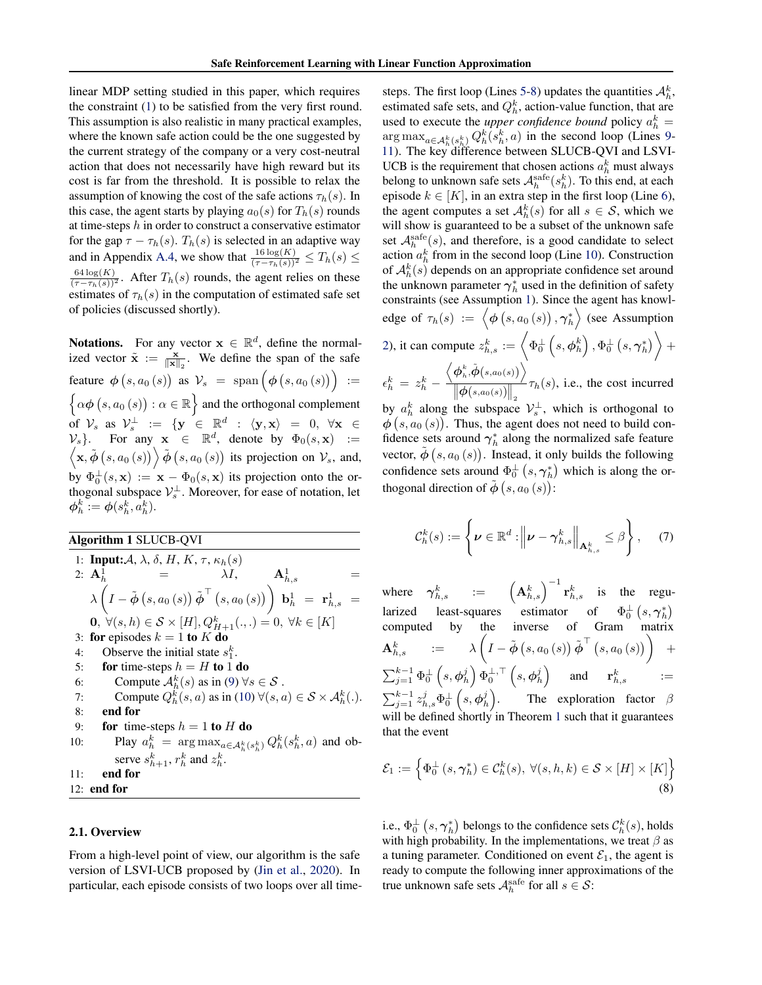<span id="page-3-0"></span>linear MDP setting studied in this paper, which requires the constraint [\(1\)](#page-1-0) to be satisfied from the very first round. This assumption is also realistic in many practical examples, where the known safe action could be the one suggested by the current strategy of the company or a very cost-neutral action that does not necessarily have high reward but its cost is far from the threshold. It is possible to relax the assumption of knowing the cost of the safe actions  $\tau_h(s)$ . In this case, the agent starts by playing  $a_0(s)$  for  $T_h(s)$  rounds at time-steps  $h$  in order to construct a conservative estimator for the gap  $\tau - \tau_h(s)$ .  $T_h(s)$  is selected in an adaptive way and in Appendix A.4, we show that  $\frac{16 \log(K)}{(\tau - \tau_h(s))^2} \leq T_h(s) \leq$  $\frac{64 \log(K)}{(\tau - \tau_h(s))^2}$ . After  $T_h(s)$  rounds, the agent relies on these estimates of  $\tau_h(s)$  in the computation of estimated safe set of policies (discussed shortly).

**Notations.** For any vector  $x \in \mathbb{R}^d$ , define the normalized vector  $\tilde{\mathbf{x}} := \frac{\mathbf{x}}{\|\mathbf{x}\|_2}$ . We define the span of the safe feature  $\phi(s, a_0(s))$  as  $\mathcal{V}_s = \text{span}(\phi(s, a_0(s))):=$  $\{\alpha \phi(s, a_0(s)) : \alpha \in \mathbb{R}\}\$  and the orthogonal complement of  $\mathcal{V}_s$  as  $\mathcal{V}_s^{\perp} := \{ \mathbf{y} \in \mathbb{R}^d : \langle \mathbf{y}, \mathbf{x} \rangle = 0, \forall \mathbf{x} \in \mathcal{V}_s \}$  $\mathcal{V}_s$ . For any  $\mathbf{x} \in \mathbb{R}^d$ , denote by  $\Phi_0(s, \mathbf{x}) :=$  $\langle \mathbf{x}, \tilde{\boldsymbol{\phi}}(s, a_0(s)) \rangle \tilde{\boldsymbol{\phi}}(s, a_0(s))$  its projection on  $\mathcal{V}_s$ , and, by  $\Phi_0^{\perp}(s, \mathbf{x}) := \mathbf{x} - \Phi_0(s, \mathbf{x})$  its projection onto the orthogonal subspace  $\mathcal{V}_s^{\perp}$ . Moreover, for ease of notation, let  $\boldsymbol{\phi}_h^k := \boldsymbol{\phi}(s_h^k,a_h^k).$ 

Algorithm 1 SLUCB-QVI

1: **Input:** A, 
$$
\lambda
$$
,  $\delta$ , H, K,  $\tau$ ,  $\kappa_h(s)$   
\n2:  $\mathbf{A}_h^1 = \lambda I$ ,  $\mathbf{A}_{h,s}^1 = \lambda I$   
\n $\lambda \left( I - \tilde{\phi}(s, a_0(s)) \tilde{\phi}^{\top}(s, a_0(s)) \right) \mathbf{b}_h^1 = \mathbf{r}_{h,s}^1 = \mathbf{0}, \forall (s, h) \in S \times [H], Q_{H+1}^k(\ldots) = 0, \forall k \in [K]$   
\n3: **for** episodes  $k = 1$  **to** K **do**  
\n4: Observe the initial state  $s_1^k$ .  
\n5: **for** time-steps  $h = H$  **to** 1 **do**  
\n6: Compute  $A_h^k(s)$  as in (9)  $\forall s \in S$ .  
\n7: Compute  $Q_h^k(s, a)$  as in (10)  $\forall (s, a) \in S \times A_h^k(\ldots)$ .  
\n8: **end for**  
\n9: **for** time-steps  $h = 1$  **to** H **do**  
\n10: Play  $a_h^k = \arg \max_{a \in A_h^k(s_h^k)} Q_h^k(s_h^k, a)$  and observe  $s_{h+1}^k$ ,  $r_h^k$  and  $z_h^k$ .  
\n11: **end for**

12: end for

#### 2.1. Overview

From a high-level point of view, our algorithm is the safe version of LSVI-UCB proposed by [\(Jin et al.,](#page-9-0) [2020\)](#page-9-0). In particular, each episode consists of two loops over all time-

steps. The first loop (Lines 5-8) updates the quantities  $\mathcal{A}_{h}^{k}$ , estimated safe sets, and  $Q_h^k$ , action-value function, that are used to execute the *upper confidence bound* policy  $a_h^k =$  $\arg \max_{a \in \mathcal{A}_h^k(s_h^k)} Q_h^k(s_h^k, a)$  in the second loop (Lines 9-11). The key difference between SLUCB-QVI and LSVI-UCB is the requirement that chosen actions  $a_h^k$  must always belong to unknown safe sets  $\mathcal{A}_h^{\text{safe}}(s_h^k)$ . To this end, at each episode  $k \in [K]$ , in an extra step in the first loop (Line 6), the agent computes a set  $A_h^k(s)$  for all  $s \in S$ , which we will show is guaranteed to be a subset of the unknown safe set  $\mathcal{A}_h^{\text{safe}}(s)$ , and therefore, is a good candidate to select action  $a_h^k$  from in the second loop (Line 10). Construction of  $\mathcal{A}_h^k(s)$  depends on an appropriate confidence set around the unknown parameter  $\gamma_h^*$  used in the definition of safety constraints (see Assumption [1\)](#page-2-0). Since the agent has knowledge of  $\tau_h(s) := \left\langle \boldsymbol{\phi} \left( s, a_0\left( s \right) \right), \boldsymbol{\gamma}_h^* \right\rangle$  (see Assumption [2\)](#page-2-0), it can compute  $z_{h,s}^k := \left\langle \Phi_0^{\perp} \left( s, \phi_h^k \right), \Phi_0^{\perp} \left( s, \gamma_h^* \right) \right\rangle +$  $\left\langle \bm{\phi}_h^k, \tilde{\bm{\phi}}(s, a_0(s)) \right\rangle$ 

 $\epsilon_h^k \, = \, z_h^k \, \left\|\boldsymbol{\phi}(s, a_0(s))\right\|_2$  $\tau_h(s)$ , i.e., the cost incurred by  $a_h^k$  along the subspace  $\mathcal{V}_s^{\perp}$ , which is orthogonal to

 $\phi(s, a_0(s))$ . Thus, the agent does not need to build confidence sets around  $\gamma_h^*$  along the normalized safe feature vector,  $\tilde{\phi}(s, a_0(s))$ . Instead, it only builds the following confidence sets around  $\Phi_0^{\perp}$   $(s, \gamma_h^*)$  which is along the orthogonal direction of  $\tilde{\boldsymbol{\phi}}$   $(s, a_0(s))$ :

$$
\mathcal{C}_h^k(s) := \left\{ \boldsymbol{\nu} \in \mathbb{R}^d : \left\| \boldsymbol{\nu} - \boldsymbol{\gamma}_{h,s}^k \right\|_{\mathbf{A}_{h,s}^k} \leq \beta \right\}, \quad (7)
$$

where  $\boldsymbol{\gamma}_{h,s}^k$  :=  $\left(\mathbf{A}_{h,s}^k\right)^{-1} \mathbf{r}_{h,s}^k$  is the regularized least-squares estimator of  $\Phi_0^{\perp} (s, \gamma_h^*)$ computed by the inverse of Gram matrix  $\mathbf{A}_{h,s}^k \quad \quad := \quad \quad \lambda \left( I - \tilde{\boldsymbol\phi} \left( s, a_0\left( s \right) \right) \tilde{\boldsymbol\phi}^\top \left( s, a_0\left( s \right) \right) \right) \quad +$  $\sum_{j=1}^{k-1}\Phi_{0}^{\perp}\left(s,\boldsymbol{\phi}_{h}^{j}\right)\Phi_{0}^{\perp,\top}\left(s,\boldsymbol{\phi}_{h}^{j}\right) \quad \text{ and } \quad \mathbf{r}_{h,s}^{k} \qquad :=$  $\sum_{j=1}^{k-1} z_{h,s}^j \Phi_0^\perp \left(s, \pmb{\phi}_h^j \right)$ The exploration factor  $\beta$ will be defined shortly in Theorem [1](#page-4-0) such that it guarantees that the event

$$
\mathcal{E}_1 := \left\{ \Phi_0^{\perp} \left( s, \gamma_h^* \right) \in \mathcal{C}_h^k(s), \ \forall (s, h, k) \in \mathcal{S} \times [H] \times [K] \right\}
$$
\n
$$
(8)
$$

i.e.,  $\Phi_{0}^{\perp}\left(s,\boldsymbol{\gamma}_{h}^{*}\right)$  belongs to the confidence sets  $\mathcal{C}_{h}^{k}(s),$  holds with high probability. In the implementations, we treat  $\beta$  as a tuning parameter. Conditioned on event  $\mathcal{E}_1$ , the agent is ready to compute the following inner approximations of the true unknown safe sets  $\mathcal{A}_h^{\text{safe}}$  for all  $s \in \mathcal{S}$ :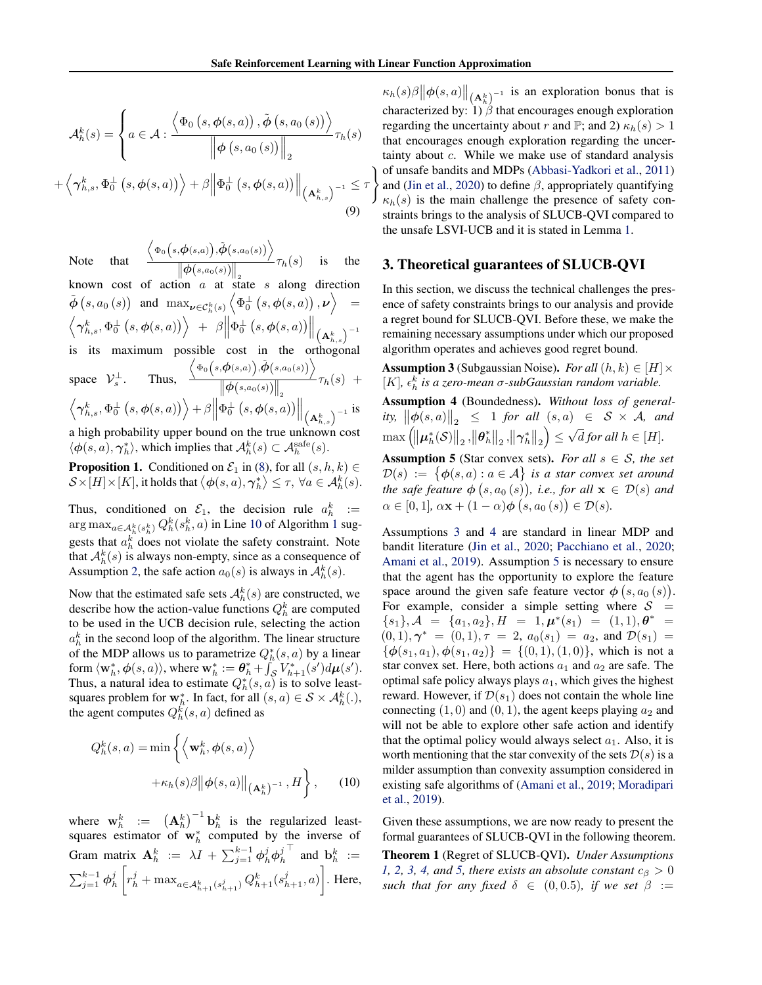<span id="page-4-0"></span>
$$
\mathcal{A}_{h}^{k}(s) = \left\{ a \in \mathcal{A} : \frac{\left\langle \Phi_{0} \left(s, \phi(s, a) \right), \tilde{\phi} \left(s, a_{0} \left(s\right) \right) \right\rangle}{\left\| \phi \left(s, a_{0} \left(s\right) \right) \right\|_{2}} \tau_{h}(s) + \left\langle \gamma_{h,s}^{k}, \Phi_{0}^{\perp} \left(s, \phi(s, a) \right) \right\rangle + \beta \left\| \Phi_{0}^{\perp} \left(s, \phi(s, a) \right) \right\|_{\left(\mathbf{A}_{h,s}^{k} \right)^{-1}} \leq \tau \right\}
$$
\n(9)

$$
\text{that}\quad\frac{\left\langle\Phi_0\big(s,\pmb{\phi}(s,a)\big),\tilde{\pmb{\phi}}\big(s,a_0(s)\big)\right\rangle}{\|\pmb{\phi}(s,a_0(s))\|}\tau_h(s)\quad\text{ is }\quad\text{the }
$$

known cost of action a at state s along direction  $\tilde{\bm{\phi}}\left(s, a_0\left(s\right)\right) \;\; \text{and} \;\; \max_{\bm{\nu} \in \mathcal{C}^k_h\left(s\right)} \left\langle \Phi^\perp_0\left(s, \bm{\phi}(s, a)\right), \bm{\nu} \right\rangle \;\; =$  $\Big\langle \boldsymbol{\gamma}_{h,s}^{k},\Phi_{0}^{\perp}\left(s,\boldsymbol{\phi}(s,a)\right)\Big\rangle \hspace{0.1 cm} + \hspace{0.1 cm} \beta\Big\|\Phi_{0}^{\perp}\left(s,\boldsymbol{\phi}(s,a)\right)\Big\|_{\big(\mathbf{A}_{h,s}^{k}\big)^{-1}}$ 

Note

is its maximum possible cost in the orthogonal<br>  $\left\langle \Phi_0(s,\phi(s,a)),\tilde{\phi}(s,a_0(s)) \right\rangle$ 

space 
$$
V_s^{\perp}
$$
. Thus,  $\frac{\langle \Phi_0(s, \phi(s, a)), \phi(s, a_0(s)) \rangle}{\left\| \phi(s, a_0(s)) \right\|_2} \tau_h(s) + \langle \gamma_{h,s}^k, \Phi_0^{\perp}(s, \phi(s, a)) \rangle + \beta \left\| \Phi_0^{\perp}(s, \phi(s, a)) \right\|_{\left( \mathbf{A}_{h,s}^k \right)^{-1}}$  is

a high probability upper bound on the true unknown cost  $\langle \phi(s, a), \gamma_h^* \rangle$ , which implies that  $\mathcal{A}_h^k(s) \subset \mathcal{A}_h^{\text{safe}}(s)$ .

**Proposition 1.** Conditioned on  $\mathcal{E}_1$  in [\(8\)](#page-3-0), for all  $(s, h, k) \in$  $\mathcal{S}\times [H]\times[K]$ , it holds that  $\big\langle\boldsymbol{\phi}(s,a),\boldsymbol{\gamma}_h^*\big\rangle\leq\tau, \ \forall a\in\mathcal{A}_h^k(s).$ 

Thus, conditioned on  $\mathcal{E}_1$ , the decision rule  $a_h^k :=$  $\argmax_{a \in \mathcal{A}_h^k(s_h^k)} Q_h^k(s_h^k, a)$  in Line [10](#page-3-0) of Algorithm [1](#page-3-0) suggests that  $a_h^k$  does not violate the safety constraint. Note that  $A_h^k(s)$  is always non-empty, since as a consequence of Assumption [2,](#page-2-0) the safe action  $a_0(s)$  is always in  $\mathcal{A}_h^k(s)$ .

Now that the estimated safe sets  $A_h^k(s)$  are constructed, we describe how the action-value functions  $Q_h^k$  are computed to be used in the UCB decision rule, selecting the action  $a_h^k$  in the second loop of the algorithm. The linear structure of the MDP allows us to parametrize  $Q_h^*(s, a)$  by a linear form  $\langle \mathbf{w}_h^*, \phi(s, a) \rangle$ , where  $\mathbf{w}_h^* := \boldsymbol{\theta}_h^* + \int_{\mathcal{S}}^* V_{h+1}^*(s') d\boldsymbol{\mu}(s')$ . Thus, a natural idea to estimate  $Q_h^*(s, a)$  is to solve leastsquares problem for  $\mathbf{w}_h^*$ . In fact, for all  $(s, a) \in \mathcal{S} \times \mathcal{A}_h^k(.)$ , the agent computes  $Q_h^k(s, a)$  defined as

$$
Q_h^k(s, a) = \min \left\{ \left\langle \mathbf{w}_h^k, \phi(s, a) \right\rangle + \kappa_h(s)\beta \|\phi(s, a)\|_{\left(\mathbf{A}_h^k\right)^{-1}}, H \right\}, \quad (10)
$$

where  $\mathbf{w}_h^k := (\mathbf{A}_h^k)^{-1} \mathbf{b}_h^k$  is the regularized leastsquares estimator of  $w_h^*$  computed by the inverse of Gram matrix  $\mathbf{A}_h^k := \lambda I + \sum_{j=1}^{k-1} \phi_h^j \phi_h^j$  $\top$  and  $\mathbf{b}_h^k :=$  $\sum_{j=1}^{k-1} \phi_h^j$  $\left[ r_h^j + \max_{a \in A_{h+1}^k(s_{h+1}^j)} Q_{h+1}^k(s_{h+1}^j, a) \right]$ . Here,

and [\(Jin et al.,](#page-9-0) [2020\)](#page-9-0) to define  $\beta$ , appropriately quantifying  $\kappa_h(s)\beta \|\phi(s,a)\|_{\left(\mathbf{A}_h^k\right)^{-1}}$  is an exploration bonus that is characterized by:  $1)\hat{\beta}$  that encourages enough exploration regarding the uncertainty about r and  $\mathbb{P}$ ; and 2)  $\kappa_h(s) > 1$ that encourages enough exploration regarding the uncertainty about c. While we make use of standard analysis of unsafe bandits and MDPs [\(Abbasi-Yadkori et al.,](#page-9-0) [2011\)](#page-9-0)  $\kappa_h(s)$  is the main challenge the presence of safety constraints brings to the analysis of SLUCB-QVI compared to the unsafe LSVI-UCB and it is stated in Lemma [1.](#page-5-0)

### 3. Theoretical guarantees of SLUCB-QVI

In this section, we discuss the technical challenges the presence of safety constraints brings to our analysis and provide a regret bound for SLUCB-QVI. Before these, we make the remaining necessary assumptions under which our proposed algorithm operates and achieves good regret bound.

**Assumption 3** (Subgaussian Noise). *For all*  $(h, k) \in [H] \times$ [K],  $\epsilon_h^k$  is a zero-mean  $\sigma$ -subGaussian random variable.

Assumption 4 (Boundedness). *Without loss of generality,*  $\left\|\phi(s, a)\right\|_2 \leq 1$  *for all*  $(s, a) \in S \times A$ *, and*  $\max\left(\left\Vert \boldsymbol{\mu}_h^*(\mathcal{S})\right\Vert_2,\left\Vert \boldsymbol{\theta}_h^*\right\Vert_2,\left\Vert \boldsymbol{\gamma}_h^*\right\Vert_2\right)\leq$ √ *d* for all  $h \in [H]$ .

**Assumption 5** (Star convex sets). *For all*  $s \in S$ *, the set*  $\mathcal{D}(s) := \{ \boldsymbol{\phi}(s,a) : a \in \mathcal{A} \}$  is a star convex set around the safe feature  $\boldsymbol{\phi}\left(s, a_0\left(s\right)\right)$ , i.e., for all  $\mathbf{x}\, \in\, \mathcal{D}(s)$  and  $\alpha \in [0,1], \, \alpha \mathbf{x} + (1-\alpha) \boldsymbol{\phi} \left(s, a_0(s)\right) \in \mathcal{D}(s).$ 

Assumptions 3 and 4 are standard in linear MDP and bandit literature [\(Jin et al.,](#page-9-0) [2020;](#page-9-0) [Pacchiano et al.,](#page-9-0) [2020;](#page-9-0) [Amani et al.,](#page-9-0) [2019\)](#page-9-0). Assumption 5 is necessary to ensure that the agent has the opportunity to explore the feature space around the given safe feature vector  $\phi(s, a_0(s))$ . For example, consider a simple setting where  $S =$  ${s_1}, \mathcal{A} = {a_1, a_2}, H = 1, \mu^*(s_1) = (1, 1), \theta^* =$  $(0, 1), \gamma^* = (0, 1), \tau = 2, a_0(s_1) = a_2, \text{ and } \mathcal{D}(s_1) =$  $\{\phi(s_1, a_1), \phi(s_1, a_2)\} = \{(0, 1), (1, 0)\}\$ , which is not a star convex set. Here, both actions  $a_1$  and  $a_2$  are safe. The optimal safe policy always plays  $a_1$ , which gives the highest reward. However, if  $\mathcal{D}(s_1)$  does not contain the whole line connecting  $(1, 0)$  and  $(0, 1)$ , the agent keeps playing  $a_2$  and will not be able to explore other safe action and identify that the optimal policy would always select  $a_1$ . Also, it is worth mentioning that the star convexity of the sets  $\mathcal{D}(s)$  is a milder assumption than convexity assumption considered in existing safe algorithms of [\(Amani et al.,](#page-9-0) [2019;](#page-9-0) [Moradipari](#page-9-0) [et al.,](#page-9-0) [2019\)](#page-9-0).

Given these assumptions, we are now ready to present the formal guarantees of SLUCB-QVI in the following theorem.

Theorem 1 (Regret of SLUCB-QVI). *Under Assumptions [1,](#page-2-0)* [2,](#page-2-0) 3, 4, and 5, there exists an absolute constant  $c_{\beta} > 0$ *such that for any fixed*  $\delta \in (0, 0.5)$ *, if we set*  $\beta :=$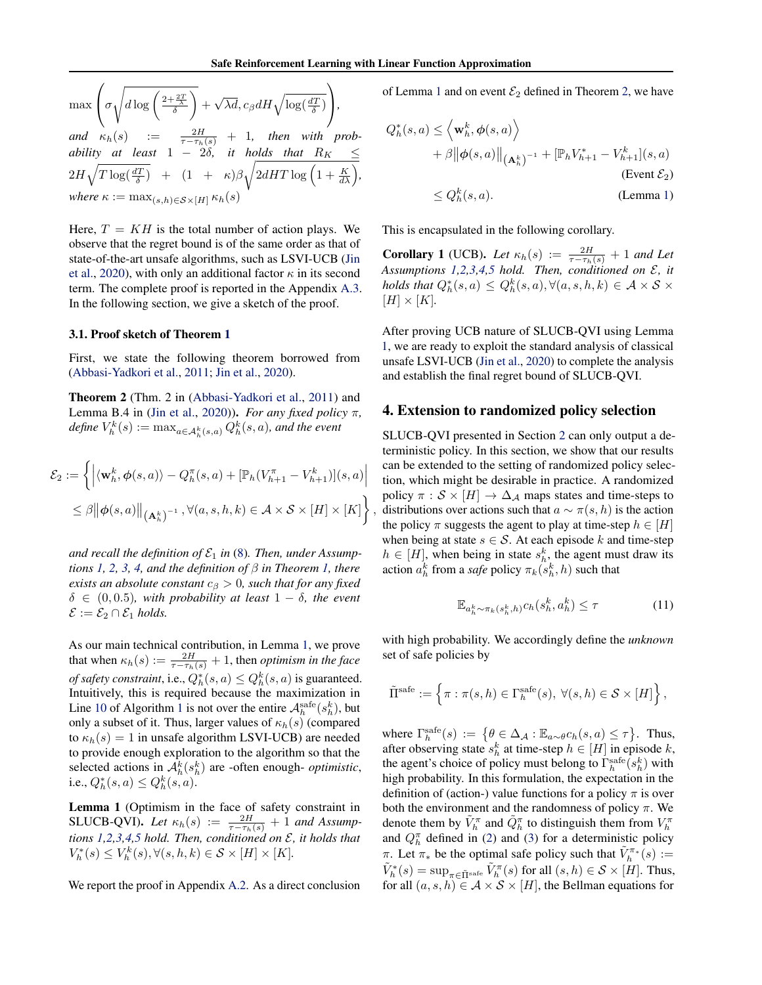,

<span id="page-5-0"></span>
$$
\max\left(\sigma\sqrt{d\log\left(\frac{2+\frac{2T}{\delta}}{\delta}\right)} + \sqrt{\lambda d}, c_{\beta}dH\sqrt{\log\left(\frac{dT}{\delta}\right)}\right),
$$
\n
$$
and \kappa_h(s) := \frac{2H}{\tau - \tau_h(s)} + 1, \text{ then with probability at least } 1 - 2\delta, \text{ it holds that } R_K \le 2H\sqrt{T\log\left(\frac{dT}{\delta}\right)} + (1 + \kappa)\beta\sqrt{2dHT\log\left(1 + \frac{K}{d\lambda}\right)},
$$
\n
$$
where \kappa := \max_{(s,h)\in S\times[H]} \kappa_h(s)
$$

Here,  $T = KH$  is the total number of action plays. We observe that the regret bound is of the same order as that of state-of-the-art unsafe algorithms, such as LSVI-UCB [\(Jin](#page-9-0) [et al.,](#page-9-0) [2020\)](#page-9-0), with only an additional factor  $\kappa$  in its second term. The complete proof is reported in the Appendix A.3. In the following section, we give a sketch of the proof.

#### 3.1. Proof sketch of Theorem [1](#page-4-0)

First, we state the following theorem borrowed from [\(Abbasi-Yadkori et al.,](#page-9-0) [2011;](#page-9-0) [Jin et al.,](#page-9-0) [2020\)](#page-9-0).

Theorem 2 (Thm. 2 in [\(Abbasi-Yadkori et al.,](#page-9-0) [2011\)](#page-9-0) and Lemma B.4 in [\(Jin et al.,](#page-9-0) [2020\)](#page-9-0)). *For any fixed policy* π*,*  $\textit{define } V^k_h(s) := \max_{a \in \mathcal{A}^k_h(s,a)} Q^k_h(s,a)$ , and the event

$$
\mathcal{E}_2 := \left\{ \left| \langle \mathbf{w}_h^k, \phi(s, a) \rangle - Q_h^{\pi}(s, a) + [\mathbb{P}_h(V_{h+1}^{\pi} - V_{h+1}^k)](s, a) \right| \right\}
$$
  

$$
\leq \beta \|\phi(s, a)\|_{\left(\mathbf{A}_h^k\right)^{-1}}, \forall (a, s, h, k) \in \mathcal{A} \times \mathcal{S} \times [H] \times [K] \right\}
$$

and recall the definition of  $\mathcal{E}_1$  in [\(8\)](#page-3-0). Then, under Assump*tions* [1,](#page-4-0) [2,](#page-2-0) [3,](#page-4-0) [4,](#page-4-0) and the definition of  $\beta$  in Theorem 1, there *exists an absolute constant*  $c_{\beta} > 0$ *, such that for any fixed*  $\delta \in (0, 0.5)$ *, with probability at least*  $1 - \delta$ *, the event*  $\mathcal{E} := \mathcal{E}_2 \cap \mathcal{E}_1$  *holds.* 

As our main technical contribution, in Lemma 1, we prove that when  $\kappa_h(s) := \frac{2H}{\tau - \tau_h(s)} + 1$ , then *optimism in the face of safety constraint*, i.e.,  $Q_h^*(s, a) \leq Q_h^k(s, a)$  is guaranteed. Intuitively, this is required because the maximization in Line [10](#page-3-0) of Algorithm [1](#page-3-0) is not over the entire  $\mathcal{A}_h^{\text{safe}}(s_h^k)$ , but only a subset of it. Thus, larger values of  $\kappa_h(s)$  (compared to  $\kappa_h(s) = 1$  in unsafe algorithm LSVI-UCB) are needed to provide enough exploration to the algorithm so that the selected actions in  $\mathcal{A}_h^k(s_h^k)$  are -often enough-*optimistic*, i.e.,  $Q_h^*(s, a) \leq Q_h^k(s, a)$ .

Lemma 1 (Optimism in the face of safety constraint in SLUCB-QVI). Let  $\kappa_h(s) := \frac{2H}{\tau - \tau_h(s)} + 1$  and Assump*tions [1,2,](#page-2-0)[3,4,5](#page-4-0) hold. Then, conditioned on* E*, it holds that*  $V_h^*(s) \leq V_h^k(s), \forall (s, h, k) \in \mathcal{S} \times [H] \times [K].$ 

We report the proof in Appendix A.2. As a direct conclusion

of Lemma 1 and on event  $\mathcal{E}_2$  defined in Theorem 2, we have

$$
Q_h^*(s, a) \le \left\langle \mathbf{w}_h^k, \phi(s, a) \right\rangle
$$
  
+  $\beta \|\phi(s, a)\|_{(\mathbf{A}_h^k)^{-1}} + [\mathbb{P}_h V_{h+1}^* - V_{h+1}^k](s, a)$   
(Event  $\mathcal{E}_2$ )  
 $\le Q_h^k(s, a)$ . (Lemma 1)

This is encapsulated in the following corollary.

**Corollary 1** (UCB). Let  $\kappa_h(s) := \frac{2H}{\tau - \tau_h(s)} + 1$  and Let *Assumptions [1,2](#page-2-0)[,3,4,5](#page-4-0) hold. Then, conditioned on* E*, it holds that*  $Q_h^*(s, a) \leq Q_h^k(s, a), \forall (a, s, h, k) \in \mathcal{A} \times \mathcal{S} \times$  $[H] \times [K]$ .

After proving UCB nature of SLUCB-QVI using Lemma 1, we are ready to exploit the standard analysis of classical unsafe LSVI-UCB [\(Jin et al.,](#page-9-0) [2020\)](#page-9-0) to complete the analysis and establish the final regret bound of SLUCB-QVI.

## 4. Extension to randomized policy selection

SLUCB-QVI presented in Section [2](#page-2-0) can only output a deterministic policy. In this section, we show that our results can be extended to the setting of randomized policy selection, which might be desirable in practice. A randomized policy  $\pi : \mathcal{S} \times [H] \to \Delta_{\mathcal{A}}$  maps states and time-steps to distributions over actions such that  $a \sim \pi(s, h)$  is the action the policy  $\pi$  suggests the agent to play at time-step  $h \in [H]$ when being at state  $s \in \mathcal{S}$ . At each episode k and time-step  $h \in [H]$ , when being in state  $s_h^k$ , the agent must draw its action  $a_h^k$  from a *safe* policy  $\pi_k(s_h^k, h)$  such that

$$
\mathbb{E}_{a_h^k \sim \pi_k(s_h^k, h)} c_h(s_h^k, a_h^k) \le \tau \tag{11}
$$

with high probability. We accordingly define the *unknown* set of safe policies by

$$
\tilde{\Pi}^{\text{safe}} := \left\{ \pi : \pi(s, h) \in \Gamma_h^{\text{safe}}(s), \ \forall (s, h) \in \mathcal{S} \times [H] \right\},\
$$

where  $\Gamma_h^{\text{safe}}(s) := \{ \theta \in \Delta_{\mathcal{A}} : \mathbb{E}_{a \sim \theta} c_h(s, a) \leq \tau \}.$  Thus, after observing state  $s_h^k$  at time-step  $h \in [H]$  in episode k, the agent's choice of policy must belong to  $\Gamma_h^{\text{safe}}(s_h^k)$  with high probability. In this formulation, the expectation in the definition of (action-) value functions for a policy  $\pi$  is over both the environment and the randomness of policy  $\pi$ . We denote them by  $\tilde{V}_h^{\pi}$  and  $\tilde{Q}_h^{\pi}$  to distinguish them from  $V_h^{\pi}$ and  $Q_h^{\pi}$  defined in [\(2\)](#page-1-0) and [\(3\)](#page-1-0) for a deterministic policy π. Let  $\pi_*$  be the optimal safe policy such that  $\tilde{V}_h^{\pi_*}(s) :=$  $\tilde{V}_h^*(s) = \sup_{\pi \in \tilde{\Pi}^{\text{safe}}} \tilde{V}_h^{\pi}(s)$  for all  $(s, h) \in \mathcal{S} \times [H]$ . Thus, for all  $(a, s, h) \in \mathcal{A} \times \mathcal{S} \times [H]$ , the Bellman equations for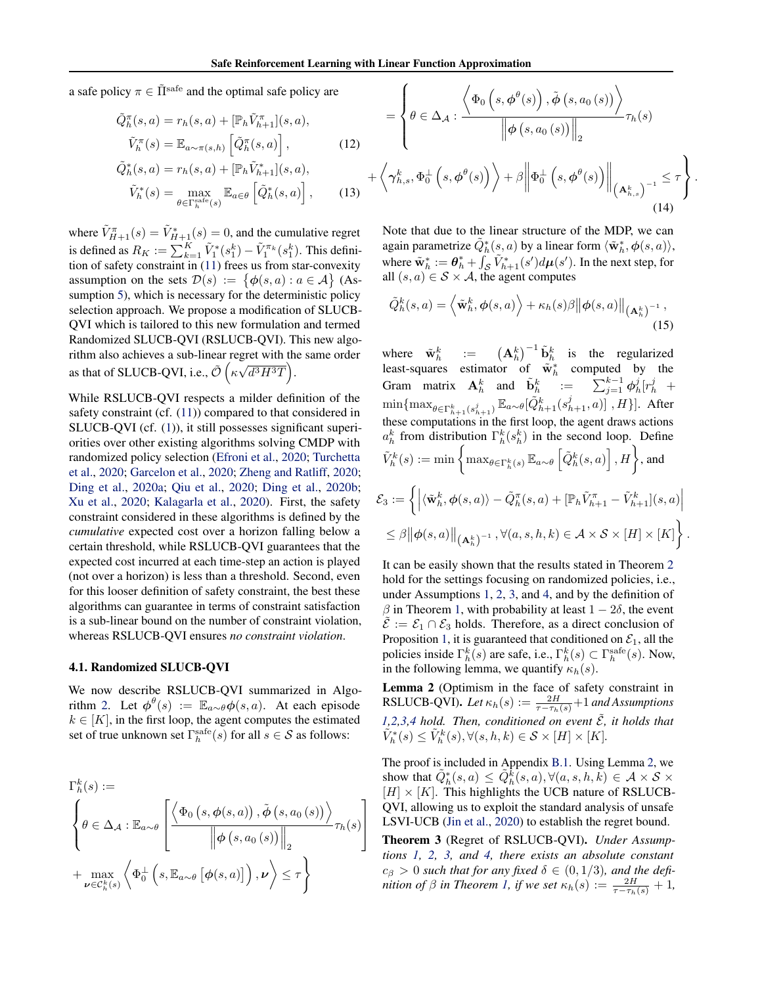+

<span id="page-6-0"></span>a safe policy  $\pi \in \tilde{\Pi}^{\text{safe}}$  and the optimal safe policy are

$$
\tilde{Q}_{h}^{\pi}(s, a) = r_{h}(s, a) + [\mathbb{P}_{h}\tilde{V}_{h+1}^{\pi}](s, a),
$$

$$
\tilde{V}_{h}^{\pi}(s) = \mathbb{E}_{a \sim \pi(s, h)} \left[ \tilde{Q}_{h}^{\pi}(s, a) \right],
$$
(12)

$$
\tilde{Q}_h^*(s, a) = r_h(s, a) + [\mathbb{P}_h \tilde{V}_{h+1}^*](s, a),
$$

$$
\tilde{V}_h^*(s) = \max_{\theta \in \Gamma_h^{\text{safe}}(s)} \mathbb{E}_{a \in \theta} \left[ \tilde{Q}_h^*(s, a) \right], \qquad (13)
$$

where  $\tilde{V}_{H+1}^{\pi}(s) = \tilde{V}_{H+1}^*(s) = 0$ , and the cumulative regret is defined as  $R_K := \sum_{k=1}^K \tilde{V}_1^*(s_1^k) - \tilde{V}_1^{\pi_k}(s_1^k)$ . This definition of safety constraint in [\(11\)](#page-5-0) frees us from star-convexity assumption on the sets  $\mathcal{D}(s) := \{ \phi(s, a) : a \in \mathcal{A} \}$  (As-sumption [5\)](#page-4-0), which is necessary for the deterministic policy selection approach. We propose a modification of SLUCB-QVI which is tailored to this new formulation and termed Randomized SLUCB-QVI (RSLUCB-QVI). This new algorithm also achieves a sub-linear regret with the same order as that of SLUCB-QVI, i.e.,  $\tilde{\mathcal{O}}\left(\kappa\sqrt{d^3H^3T}\right)$ .

While RSLUCB-QVI respects a milder definition of the safety constraint (cf. [\(11\)](#page-5-0)) compared to that considered in SLUCB-QVI (cf. [\(1\)](#page-1-0)), it still possesses significant superiorities over other existing algorithms solving CMDP with randomized policy selection [\(Efroni et al.,](#page-9-0) [2020;](#page-9-0) [Turchetta](#page-10-0) [et al.,](#page-10-0) [2020;](#page-10-0) [Garcelon et al.,](#page-9-0) [2020;](#page-9-0) [Zheng and Ratliff,](#page-10-0) [2020;](#page-10-0) [Ding et al.,](#page-9-0) [2020a;](#page-9-0) [Qiu et al.,](#page-9-0) [2020;](#page-9-0) [Ding et al.,](#page-9-0) [2020b;](#page-9-0) [Xu et al.,](#page-10-0) [2020;](#page-10-0) [Kalagarla et al.,](#page-9-0) [2020\)](#page-9-0). First, the safety constraint considered in these algorithms is defined by the *cumulative* expected cost over a horizon falling below a certain threshold, while RSLUCB-QVI guarantees that the expected cost incurred at each time-step an action is played (not over a horizon) is less than a threshold. Second, even for this looser definition of safety constraint, the best these algorithms can guarantee in terms of constraint satisfaction is a sub-linear bound on the number of constraint violation, whereas RSLUCB-QVI ensures *no constraint violation*.

#### 4.1. Randomized SLUCB-QVI

We now describe RSLUCB-QVI summarized in Algo-rithm [2.](#page-7-0) Let  $\phi^{\theta}(s) := \mathbb{E}_{a \sim \theta} \phi(s, a)$ . At each episode  $k \in [K]$ , in the first loop, the agent computes the estimated set of true unknown set  $\Gamma_h^{\text{safe}}(s)$  for all  $s \in \mathcal{S}$  as follows:

$$
\Gamma_h^k(s) :=
$$
\n
$$
\begin{cases}\n\theta \in \Delta_{\mathcal{A}} : \mathbb{E}_{a \sim \theta} \left[ \frac{\left\langle \Phi_0 \left( s, \phi(s, a) \right), \tilde{\phi} \left( s, a_0 \left( s \right) \right) \right\rangle}{\left\| \phi \left( s, a_0 \left( s \right) \right) \right\|_2} \tau_h(s) \right] \\
+ \max_{\nu \in C_h^k(s)} \left\langle \Phi_0^{\perp} \left( s, \mathbb{E}_{a \sim \theta} \left[ \phi(s, a) \right] \right), \nu \right\rangle \leq \tau \right\}\n\end{cases}
$$

$$
= \left\{ \theta \in \Delta_{\mathcal{A}} : \frac{\left\langle \Phi_{0} \left( s, \phi^{\theta}(s) \right), \tilde{\phi} \left( s, a_{0} \left( s \right) \right) \right\rangle}{\left\| \phi \left( s, a_{0} \left( s \right) \right) \right\|_{2}} \tau_{h}(s) \right\}
$$
\n
$$
\left\langle \gamma_{h,s}^{k}, \Phi_{0}^{\perp} \left( s, \phi^{\theta}(s) \right) \right\rangle + \beta \left\| \Phi_{0}^{\perp} \left( s, \phi^{\theta}(s) \right) \right\|_{\left( \mathbf{A}_{h,s}^{k} \right)^{-1}} \leq \tau \right\}
$$
\n(14)

.

Note that due to the linear structure of the MDP, we can again parametrize  $\tilde{Q}_h^*(s, a)$  by a linear form  $\langle \tilde{\mathbf{w}}_h^*, \boldsymbol{\phi}(s, a) \rangle$ , where  $\tilde{\mathbf{w}}_h^* := \boldsymbol{\theta}_h^* + \int_{\mathcal{S}} \tilde{V}_{h+1}^*(s') d\boldsymbol{\mu}(s')$ . In the next step, for all  $(s, a) \in S \times A$ , the agent computes

$$
\tilde{Q}_{h}^{k}(s,a) = \left\langle \tilde{\mathbf{w}}_{h}^{k}, \phi(s,a) \right\rangle + \kappa_{h}(s)\beta \left\| \phi(s,a) \right\|_{\left(\mathbf{A}_{h}^{k}\right)^{-1}},\tag{15}
$$

where  $\tilde{\mathbf{w}}_h^k$  :=  $(\mathbf{A}_h^k)^{-1} \tilde{\mathbf{b}}_h^k$  is the regularized least-squares estimator of  $\tilde{w}_h^*$  computed by the Gram matrix  $\mathbf{A}_h^k$  and  $\tilde{\mathbf{b}}_h^k$  :=  $\sum_{j=1}^{k-1} \phi_h^j [r_h^j +$  $\min\{\max_{\theta\in\Gamma^k_{h+1}(s^j_{h+1})}\mathbb{E}_{a\sim\theta}[\tilde{Q}_{h+1}^k(s^j_{h+1},a)]$  ,  $H\}].$  After these computations in the first loop, the agent draws actions  $a_h^k$  from distribution  $\Gamma_h^k(s_h^k)$  in the second loop. Define  $\tilde{V}_h^k(s):=\min\bigg\{\max_{\theta\in\Gamma_h^k(s)}\mathbb{E}_{a\sim\theta}\left[\tilde{Q}_h^k(s,a)\right],H\bigg\},$  and  $\mathcal{E}_3:=\biggl\{\Big|\langle\tilde{\mathbf{w}}_h^k,\boldsymbol{\phi}(s,a)\rangle-\tilde{Q}_h^{\pi}(s,a)+[\mathbb{P}_h\tilde{V}_{h+1}^{\pi}-\tilde{V}_{h+1}^k](s,a)\Big|$  $\leq \beta \big\|\boldsymbol{\phi}(s,a)\big\|_{\left(\mathbf{A}_h^k\right)^{-1}}, \forall (a,s,h,k) \in \mathcal{A} \times \mathcal{S} \times [H] \times [K]\bigg\}\,.$ 

It can be easily shown that the results stated in Theorem [2](#page-5-0) hold for the settings focusing on randomized policies, i.e., under Assumptions [1,](#page-2-0) [2,](#page-2-0) [3,](#page-4-0) and [4,](#page-4-0) and by the definition of  $\beta$  in Theorem [1,](#page-4-0) with probability at least  $1 - 2\delta$ , the event  $\tilde{\mathcal{E}} := \mathcal{E}_1 \cap \mathcal{E}_3$  holds. Therefore, as a direct conclusion of Proposition [1,](#page-4-0) it is guaranteed that conditioned on  $\mathcal{E}_1$ , all the policies inside  $\Gamma_h^k(s)$  are safe, i.e.,  $\Gamma_h^k(s) \subset \Gamma_h^{\text{safe}}(s)$ . Now, in the following lemma, we quantify  $\kappa_h(s)$ .

Lemma 2 (Optimism in the face of safety constraint in RSLUCB-QVI). Let  $\kappa_h(s) := \frac{2H}{\tau - \tau_h(s)} + 1$  and Assumptions [1,2](#page-2-0)[,3,4](#page-4-0) *hold.* Then, conditioned on event  $\tilde{\mathcal{E}}$ , it holds that  $\tilde{V}_h^*(s) \leq \tilde{V}_h^k(s), \forall (s, h, k) \in \mathcal{S} \times [H] \times [K].$ 

The proof is included in Appendix B.1. Using Lemma 2, we show that  $\tilde{Q}_h^*(s, a) \leq \tilde{Q}_h^{\tilde{k}}(s, a), \forall (a, s, h, k) \in \mathcal{A} \times \mathcal{S} \times$  $[H] \times [K]$ . This highlights the UCB nature of RSLUCB-QVI, allowing us to exploit the standard analysis of unsafe LSVI-UCB [\(Jin et al.,](#page-9-0) [2020\)](#page-9-0) to establish the regret bound.

Theorem 3 (Regret of RSLUCB-QVI). *Under Assumptions [1,](#page-2-0) [2,](#page-2-0) [3,](#page-4-0) and [4,](#page-4-0) there exists an absolute constant*  $c_{\beta} > 0$  such that for any fixed  $\delta \in (0, 1/3)$ , and the defi*nition of*  $\beta$  *in Theorem [1,](#page-4-0) if we set*  $\kappa_h(s) := \frac{2H}{\tau - \tau_h(s)} + 1$ ,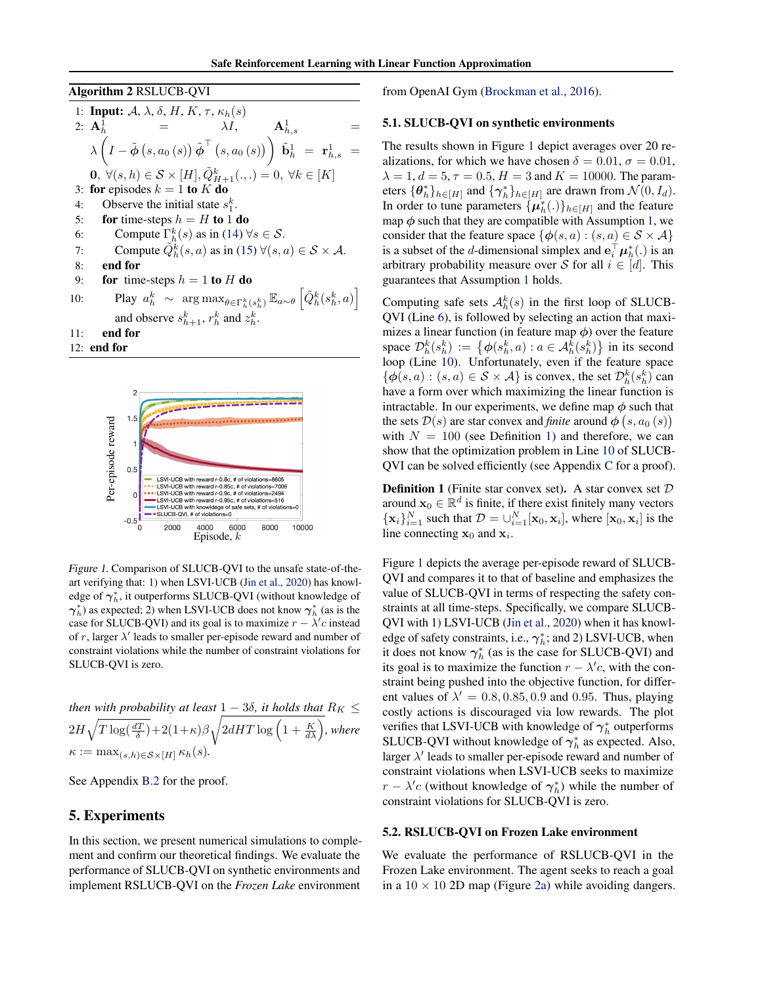<span id="page-7-0"></span>Algorithm 2 RSLUCB-QVI

1: **Input:** 
$$
A, \lambda, \delta, H, K, \tau, \kappa_h(s)
$$
  
\n2:  $\mathbf{A}_h^1 = \lambda I, \qquad \mathbf{A}_{h,s}^1 = \mathbf{A}_{h,s}^1 = \lambda \left(I - \tilde{\phi}(s, a_0(s))\tilde{\phi}^\top(s, a_0(s))\right) \tilde{\mathbf{b}}_h^1 = \mathbf{r}_{h,s}^1 = \mathbf{0}, \forall (s, h) \in S \times [H], \tilde{Q}_{H+1}^k(\ldots) = 0, \forall k \in [K]$   
\n3: **for** episodes  $k = 1$  **to**  $K$  **do**  
\n4: Observe the initial state  $s_1^k$ .  
\n5: **for** time-steps  $h = H$  **to** 1 **do**  
\n6: Compute  $\tilde{P}_h^k(s)$  as in (14)  $\forall s \in S$ .  
\n7: Compute  $\tilde{Q}_h^k(s, a)$  as in (15)  $\forall (s, a) \in S \times A$ .  
\n8: **end for**  
\n9: **for** time-steps  $h = 1$  **to**  $H$  **do**  
\n10: Play  $a_h^k \sim \arg \max_{\theta \in \Gamma_h^k(s_h^k)} \mathbb{E}_{a \sim \theta} [\tilde{Q}_h^k(s_h^k, a)]$   
\nand observe  $s_{h+1}^k$ ,  $r_h^k$  and  $z_h^k$ .  
\n11: **end for**  
\n12: **end for**



Figure 1. Comparison of SLUCB-QVI to the unsafe state-of-theart verifying that: 1) when LSVI-UCB [\(Jin et al.,](#page-9-0) [2020\)](#page-9-0) has knowledge of  $\boldsymbol{\gamma}_h^*$ , it outperforms SLUCB-QVI (without knowledge of  $\gamma_h^*$ ) as expected; 2) when LSVI-UCB does not know  $\gamma_h^*$  (as is the case for SLUCB-QVI) and its goal is to maximize  $r - \lambda' c$  instead of r, larger  $\lambda'$  leads to smaller per-episode reward and number of constraint violations while the number of constraint violations for SLUCB-QVI is zero.

*then with probability at least*  $1 - 3\delta$ *, it holds that*  $R_K \leq$  $2H\sqrt{T\log(\frac{dT}{\delta})}+2(1+\kappa)\beta\sqrt{2dHT\log\left(1+\frac{K}{d\lambda}\right)},$  where  $\kappa := \max_{(s,h)\in\mathcal{S}\times[H]} \kappa_h(s)$ .

See Appendix B.2 for the proof.

## 5. Experiments

In this section, we present numerical simulations to complement and confirm our theoretical findings. We evaluate the performance of SLUCB-QVI on synthetic environments and implement RSLUCB-QVI on the *Frozen Lake* environment

from OpenAI Gym [\(Brockman et al.,](#page-9-0) [2016\)](#page-9-0).

#### 5.1. SLUCB-QVI on synthetic environments

The results shown in Figure 1 depict averages over 20 realizations, for which we have chosen  $\delta = 0.01$ ,  $\sigma = 0.01$ ,  $\lambda = 1, d = 5, \tau = 0.5, H = 3$  and  $K = 10000$ . The parameters  $\{\boldsymbol{\theta}_h^*\}_{h\in[H]}$  and  $\{\boldsymbol{\gamma}_h^*\}_{h\in[H]}$  are drawn from  $\mathcal{N}(0, I_d)$ . In order to tune parameters  $\{\mu_h^*(.)\}_{h \in [H]}$  and the feature map  $\phi$  such that they are compatible with Assumption [1,](#page-2-0) we consider that the feature space  $\{\phi(s, a) : (s, a) \in S \times A\}$ is a subset of the *d*-dimensional simplex and  $\mathbf{e}_i^{\top} \boldsymbol{\mu}_h^*(.)$  is an arbitrary probability measure over S for all  $i \in [d]$ . This guarantees that Assumption [1](#page-2-0) holds.

Computing safe sets  $A_h^k(s)$  in the first loop of SLUCB-QVI (Line [6\)](#page-3-0), is followed by selecting an action that maximizes a linear function (in feature map  $\phi$ ) over the feature space  $\mathcal{D}_h^k(s_h^k) := \{ \phi(s_h^k, a) : a \in \mathcal{A}_h^k(s_h^k) \}$  in its second loop (Line [10\)](#page-3-0). Unfortunately, even if the feature space  $\{\phi(s, a) : (s, a) \in S \times A\}$  is convex, the set  $\mathcal{D}_h^k(s_h^k)$  can have a form over which maximizing the linear function is intractable. In our experiments, we define map  $\phi$  such that the sets  $\mathcal{D}(s)$  are star convex and *finite* around  $\phi\left(s, a_0\left(s\right)\right)$ with  $N = 100$  (see Definition 1) and therefore, we can show that the optimization problem in Line [10](#page-3-0) of SLUCB-QVI can be solved efficiently (see Appendix C for a proof).

**Definition 1** (Finite star convex set). A star convex set  $D$ around  $\mathbf{x}_0 \in \mathbb{R}^d$  is finite, if there exist finitely many vectors  $\{\mathbf x_i\}_{i=1}^N$  such that  $\mathcal{D} = \bigcup_{i=1}^N [\mathbf x_0, \mathbf x_i]$ , where  $[\mathbf x_0, \mathbf x_i]$  is the line connecting  $x_0$  and  $x_i$ .

Figure 1 depicts the average per-episode reward of SLUCB-QVI and compares it to that of baseline and emphasizes the value of SLUCB-QVI in terms of respecting the safety constraints at all time-steps. Specifically, we compare SLUCB-QVI with 1) LSVI-UCB [\(Jin et al.,](#page-9-0) [2020\)](#page-9-0) when it has knowledge of safety constraints, i.e.,  $\gamma_h^*$ ; and 2) LSVI-UCB, when it does not know  $\gamma_h^*$  (as is the case for SLUCB-QVI) and its goal is to maximize the function  $r - \lambda' c$ , with the constraint being pushed into the objective function, for different values of  $\lambda' = 0.8, 0.85, 0.9$  and 0.95. Thus, playing costly actions is discouraged via low rewards. The plot verifies that LSVI-UCB with knowledge of  $\gamma_h^*$  outperforms SLUCB-QVI without knowledge of  $\gamma_h^*$  as expected. Also, larger  $\lambda'$  leads to smaller per-episode reward and number of constraint violations when LSVI-UCB seeks to maximize  $r - \lambda' c$  (without knowledge of  $\gamma_h^*$ ) while the number of constraint violations for SLUCB-QVI is zero.

#### 5.2. RSLUCB-QVI on Frozen Lake environment

We evaluate the performance of RSLUCB-QVI in the Frozen Lake environment. The agent seeks to reach a goal in a  $10 \times 10$  2D map (Figure [2a\)](#page-8-0) while avoiding dangers.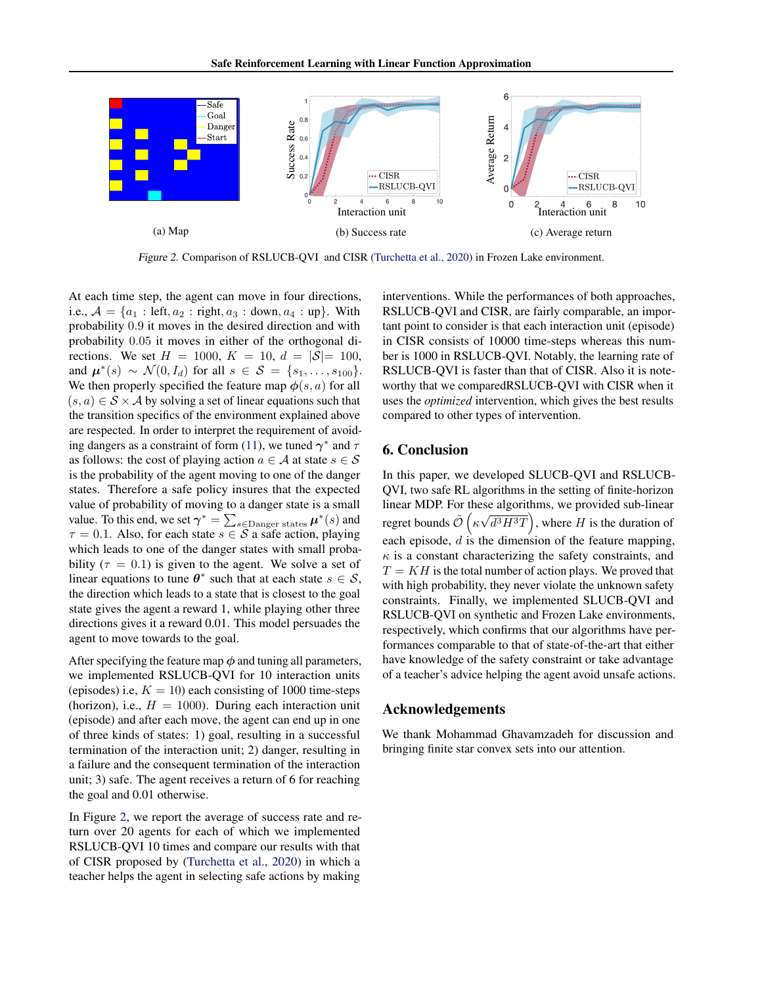<span id="page-8-0"></span>

Figure 2. Comparison of RSLUCB-QVI and CISR [\(Turchetta et al.,](#page-10-0) [2020\)](#page-10-0) in Frozen Lake environment.

At each time step, the agent can move in four directions, i.e.,  $A = \{a_1 : \text{left}, a_2 : \text{right}, a_3 : \text{down}, a_4 : \text{up}\}.$  With probability 0.9 it moves in the desired direction and with probability 0.05 it moves in either of the orthogonal directions. We set  $H = 1000$ ,  $K = 10$ ,  $d = |\mathcal{S}| = 100$ , and  $\mu^*(s) \sim \mathcal{N}(0, I_d)$  for all  $s \in \mathcal{S} = \{s_1, \ldots, s_{100}\}.$ We then properly specified the feature map  $\phi(s, a)$  for all  $(s, a) \in S \times A$  by solving a set of linear equations such that the transition specifics of the environment explained above are respected. In order to interpret the requirement of avoid-ing dangers as a constraint of form [\(11\)](#page-5-0), we tuned  $\gamma^*$  and  $\tau$ as follows: the cost of playing action  $a \in \mathcal{A}$  at state  $s \in \mathcal{S}$ is the probability of the agent moving to one of the danger states. Therefore a safe policy insures that the expected value of probability of moving to a danger state is a small value. To this end, we set  $\gamma^* = \sum_{s \in \text{Danger states}} \mu^*(s)$  and  $\tau = 0.1$ . Also, for each state  $s \in \mathcal{S}$  a safe action, playing which leads to one of the danger states with small probability ( $\tau = 0.1$ ) is given to the agent. We solve a set of linear equations to tune  $\theta^*$  such that at each state  $s \in \mathcal{S}$ , the direction which leads to a state that is closest to the goal state gives the agent a reward 1, while playing other three directions gives it a reward 0.01. This model persuades the agent to move towards to the goal.

After specifying the feature map  $\phi$  and tuning all parameters, we implemented RSLUCB-QVI for 10 interaction units (episodes) i.e,  $K = 10$ ) each consisting of 1000 time-steps (horizon), i.e.,  $H = 1000$ ). During each interaction unit (episode) and after each move, the agent can end up in one of three kinds of states: 1) goal, resulting in a successful termination of the interaction unit; 2) danger, resulting in a failure and the consequent termination of the interaction unit; 3) safe. The agent receives a return of 6 for reaching the goal and 0.01 otherwise.

In Figure 2, we report the average of success rate and return over 20 agents for each of which we implemented RSLUCB-QVI 10 times and compare our results with that of CISR proposed by [\(Turchetta et al.,](#page-10-0) [2020\)](#page-10-0) in which a teacher helps the agent in selecting safe actions by making

interventions. While the performances of both approaches, RSLUCB-QVI and CISR, are fairly comparable, an important point to consider is that each interaction unit (episode) in CISR consists of 10000 time-steps whereas this number is 1000 in RSLUCB-QVI. Notably, the learning rate of RSLUCB-QVI is faster than that of CISR. Also it is noteworthy that we comparedRSLUCB-QVI with CISR when it uses the *optimized* intervention, which gives the best results compared to other types of intervention.

# 6. Conclusion

In this paper, we developed SLUCB-QVI and RSLUCB-QVI, two safe RL algorithms in the setting of finite-horizon linear MDP. For these algorithms, we provided sub-linear regret bounds  $\tilde{\mathcal{O}}\left(\kappa\sqrt{d^3H^3T}\right)$ , where H is the duration of each episode,  $d$  is the dimension of the feature mapping,  $\kappa$  is a constant characterizing the safety constraints, and  $T = KH$  is the total number of action plays. We proved that with high probability, they never violate the unknown safety constraints. Finally, we implemented SLUCB-QVI and RSLUCB-QVI on synthetic and Frozen Lake environments, respectively, which confirms that our algorithms have performances comparable to that of state-of-the-art that either have knowledge of the safety constraint or take advantage of a teacher's advice helping the agent avoid unsafe actions.

## Acknowledgements

We thank Mohammad Ghavamzadeh for discussion and bringing finite star convex sets into our attention.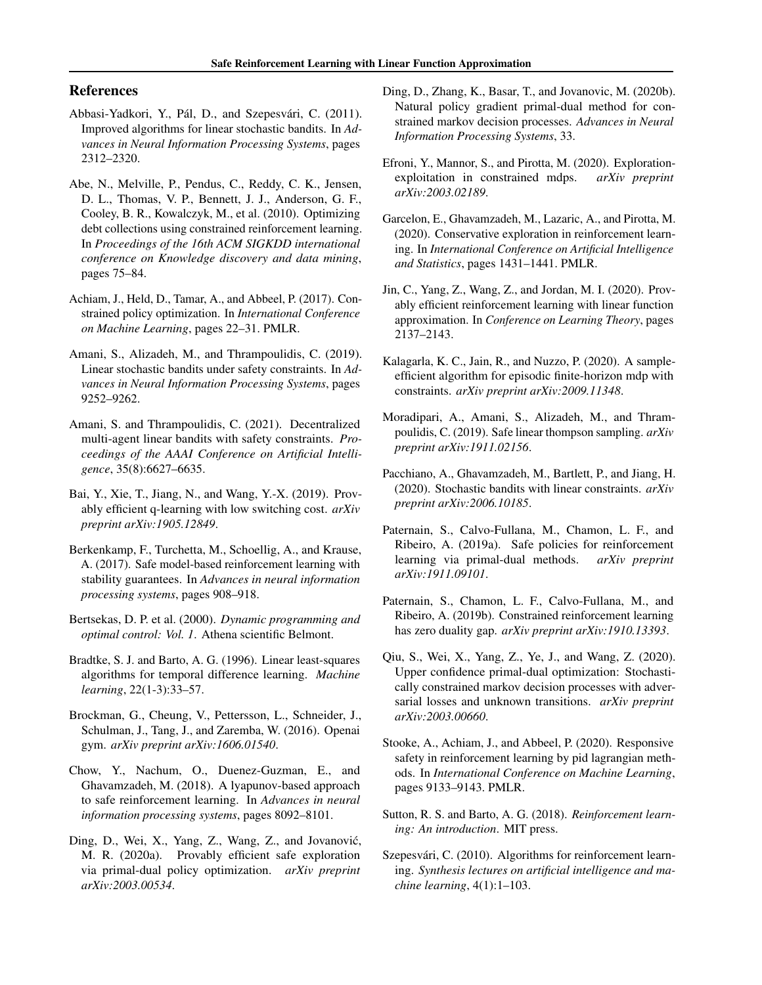# <span id="page-9-0"></span>References

- Abbasi-Yadkori, Y., Pál, D., and Szepesvári, C. (2011). Improved algorithms for linear stochastic bandits. In *Advances in Neural Information Processing Systems*, pages 2312–2320.
- Abe, N., Melville, P., Pendus, C., Reddy, C. K., Jensen, D. L., Thomas, V. P., Bennett, J. J., Anderson, G. F., Cooley, B. R., Kowalczyk, M., et al. (2010). Optimizing debt collections using constrained reinforcement learning. In *Proceedings of the 16th ACM SIGKDD international conference on Knowledge discovery and data mining*, pages 75–84.
- Achiam, J., Held, D., Tamar, A., and Abbeel, P. (2017). Constrained policy optimization. In *International Conference on Machine Learning*, pages 22–31. PMLR.
- Amani, S., Alizadeh, M., and Thrampoulidis, C. (2019). Linear stochastic bandits under safety constraints. In *Advances in Neural Information Processing Systems*, pages 9252–9262.
- Amani, S. and Thrampoulidis, C. (2021). Decentralized multi-agent linear bandits with safety constraints. *Proceedings of the AAAI Conference on Artificial Intelligence*, 35(8):6627–6635.
- Bai, Y., Xie, T., Jiang, N., and Wang, Y.-X. (2019). Provably efficient q-learning with low switching cost. *arXiv preprint arXiv:1905.12849*.
- Berkenkamp, F., Turchetta, M., Schoellig, A., and Krause, A. (2017). Safe model-based reinforcement learning with stability guarantees. In *Advances in neural information processing systems*, pages 908–918.
- Bertsekas, D. P. et al. (2000). *Dynamic programming and optimal control: Vol. 1*. Athena scientific Belmont.
- Bradtke, S. J. and Barto, A. G. (1996). Linear least-squares algorithms for temporal difference learning. *Machine learning*, 22(1-3):33–57.
- Brockman, G., Cheung, V., Pettersson, L., Schneider, J., Schulman, J., Tang, J., and Zaremba, W. (2016). Openai gym. *arXiv preprint arXiv:1606.01540*.
- Chow, Y., Nachum, O., Duenez-Guzman, E., and Ghavamzadeh, M. (2018). A lyapunov-based approach to safe reinforcement learning. In *Advances in neural information processing systems*, pages 8092–8101.
- Ding, D., Wei, X., Yang, Z., Wang, Z., and Jovanović, M. R. (2020a). Provably efficient safe exploration via primal-dual policy optimization. *arXiv preprint arXiv:2003.00534*.
- Ding, D., Zhang, K., Basar, T., and Jovanovic, M. (2020b). Natural policy gradient primal-dual method for constrained markov decision processes. *Advances in Neural Information Processing Systems*, 33.
- Efroni, Y., Mannor, S., and Pirotta, M. (2020). Explorationexploitation in constrained mdps. *arXiv preprint arXiv:2003.02189*.
- Garcelon, E., Ghavamzadeh, M., Lazaric, A., and Pirotta, M. (2020). Conservative exploration in reinforcement learning. In *International Conference on Artificial Intelligence and Statistics*, pages 1431–1441. PMLR.
- Jin, C., Yang, Z., Wang, Z., and Jordan, M. I. (2020). Provably efficient reinforcement learning with linear function approximation. In *Conference on Learning Theory*, pages 2137–2143.
- Kalagarla, K. C., Jain, R., and Nuzzo, P. (2020). A sampleefficient algorithm for episodic finite-horizon mdp with constraints. *arXiv preprint arXiv:2009.11348*.
- Moradipari, A., Amani, S., Alizadeh, M., and Thrampoulidis, C. (2019). Safe linear thompson sampling. *arXiv preprint arXiv:1911.02156*.
- Pacchiano, A., Ghavamzadeh, M., Bartlett, P., and Jiang, H. (2020). Stochastic bandits with linear constraints. *arXiv preprint arXiv:2006.10185*.
- Paternain, S., Calvo-Fullana, M., Chamon, L. F., and Ribeiro, A. (2019a). Safe policies for reinforcement learning via primal-dual methods. *arXiv preprint arXiv:1911.09101*.
- Paternain, S., Chamon, L. F., Calvo-Fullana, M., and Ribeiro, A. (2019b). Constrained reinforcement learning has zero duality gap. *arXiv preprint arXiv:1910.13393*.
- Qiu, S., Wei, X., Yang, Z., Ye, J., and Wang, Z. (2020). Upper confidence primal-dual optimization: Stochastically constrained markov decision processes with adversarial losses and unknown transitions. *arXiv preprint arXiv:2003.00660*.
- Stooke, A., Achiam, J., and Abbeel, P. (2020). Responsive safety in reinforcement learning by pid lagrangian methods. In *International Conference on Machine Learning*, pages 9133–9143. PMLR.
- Sutton, R. S. and Barto, A. G. (2018). *Reinforcement learning: An introduction*. MIT press.
- Szepesvári, C. (2010). Algorithms for reinforcement learning. *Synthesis lectures on artificial intelligence and machine learning*, 4(1):1–103.